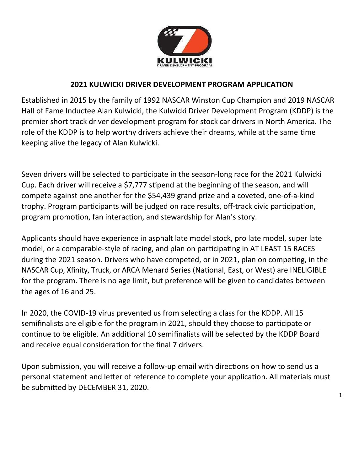

# 2021 KULWICKI DRIVER DEVELOPMENT PROGRAM APPLICATION

Established in 2015 by the family of 1992 NASCAR Winston Cup Champion and 2019 NASCAR Hall of Fame Inductee Alan Kulwicki, the Kulwicki Driver Development Program (KDDP) is the premier short track driver development program for stock car drivers in North America. The role of the KDDP is to help worthy drivers achieve their dreams, while at the same time keeping alive the legacy of Alan Kulwicki.

Seven drivers will be selected to participate in the season-long race for the 2021 Kulwicki Cup. Each driver will receive a \$7,777 stipend at the beginning of the season, and will compete against one another for the \$54,439 grand prize and a coveted, one-of-a-kind trophy. Program participants will be judged on race results, off-track civic participation, program promotion, fan interaction, and stewardship for Alan's story.

Applicants should have experience in asphalt late model stock, pro late model, super late model, or a comparable-style of racing, and plan on participating in AT LEAST 15 RACES during the 2021 season. Drivers who have competed, or in 2021, plan on competing, in the NASCAR Cup, Xfinity, Truck, or ARCA Menard Series (National, East, or West) are INELIGIBLE for the program. There is no age limit, but preference will be given to candidates between the ages of 16 and 25.

In 2020, the COVID-19 virus prevented us from selecting a class for the KDDP. All 15 semifinalists are eligible for the program in 2021, should they choose to participate or continue to be eligible. An additional 10 semifinalists will be selected by the KDDP Board and receive equal consideration for the final 7 drivers.

Upon submission, you will receive a follow-up email with directions on how to send us a personal statement and letter of reference to complete your application. All materials must be submitted by DECEMBER 31, 2020.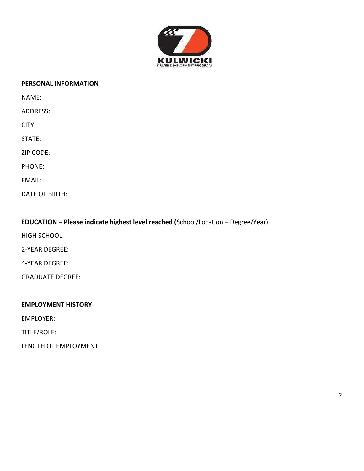

#### PERSONAL INFORMATION

NAME:

ADDRESS:

CITY:

STATE:

ZIP CODE:

PHONE:

EMAIL:

DATE OF BIRTH:

### EDUCATION - Please indicate highest level reached (School/Location - Degree/Year)

HIGH SCHOOL:

2-YEAR DEGREE:

4-YEAR DEGREE:

GRADUATE DEGREE:

#### EMPLOYMENT HISTORY

EMPLOYER:

TITLE/ROLE:

LENGTH OF EMPLOYMENT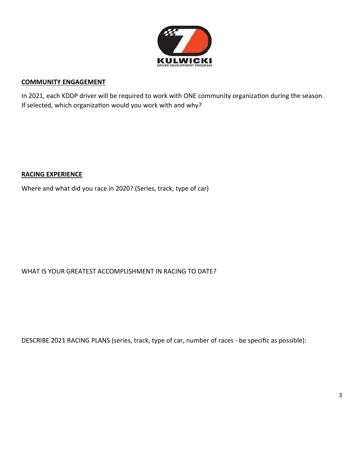

#### COMMUNITY ENGAGEMENT

In 2021, each KDDP driver will be required to work with ONE community organization during the season. If selected, which organization would you work with and why?

#### RACING EXPERIENCE

Where and what did you race in 2020? (Series, track, type of car)

## WHAT IS YOUR GREATEST ACCOMPLISHMENT IN RACING TO DATE?

DESCRIBE 2021 RACING PLANS (series, track, type of car, number of races - be specific as possible):